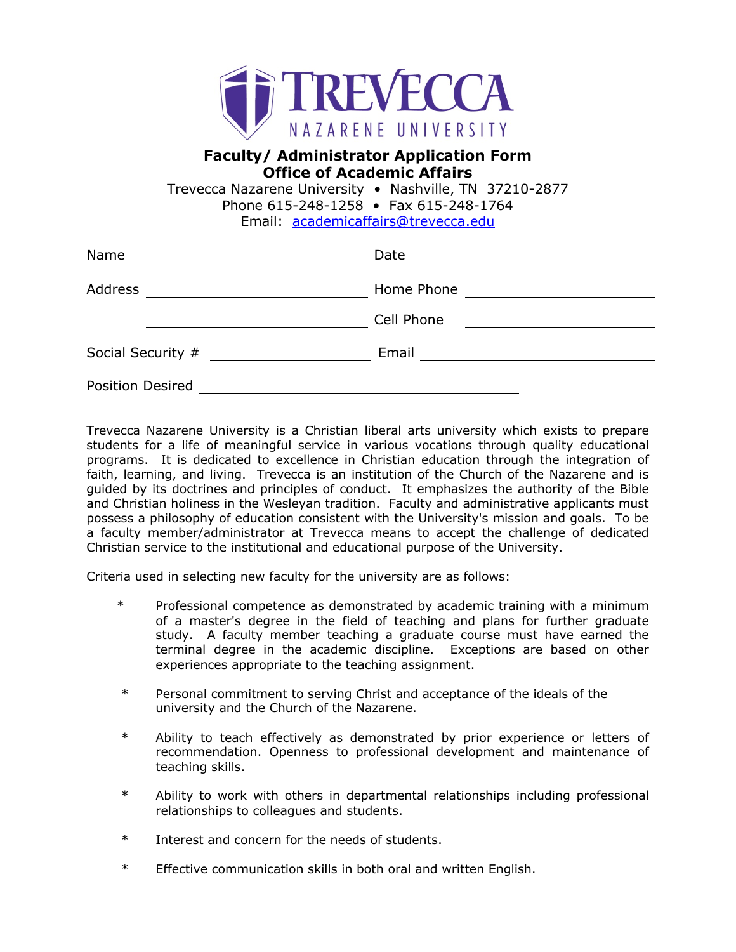

## **Faculty/ Administrator Application Form Office of Academic Affairs**

Trevecca Nazarene University • Nashville, TN 37210-2877 Phone 615-248-1258 • Fax 615-248-1764 Email: academicaffairs@trevecca.edu

| Name                                                           | Date                                                                                                                               |  |
|----------------------------------------------------------------|------------------------------------------------------------------------------------------------------------------------------------|--|
| <b>Address</b>                                                 | Home Phone<br><u> 1989 - Andrea State Barbara, president e la provincia de la presidencia de la provincia de la provincia de l</u> |  |
|                                                                | Cell Phone                                                                                                                         |  |
| Social Security #<br><u> 1980 - Jan Barbara Barat, prima a</u> | Email<br><u> 1980 - Jan Samuel Barbara, martin da shekara 1980 - An tsa a tsa a tsa a tsa a tsa a tsa a tsa a tsa a tsa a</u>      |  |
| Position Desired                                               |                                                                                                                                    |  |

Trevecca Nazarene University is a Christian liberal arts university which exists to prepare students for a life of meaningful service in various vocations through quality educational programs. It is dedicated to excellence in Christian education through the integration of faith, learning, and living. Trevecca is an institution of the Church of the Nazarene and is guided by its doctrines and principles of conduct. It emphasizes the authority of the Bible and Christian holiness in the Wesleyan tradition. Faculty and administrative applicants must possess a philosophy of education consistent with the University's mission and goals. To be a faculty member/administrator at Trevecca means to accept the challenge of dedicated Christian service to the institutional and educational purpose of the University.

Criteria used in selecting new faculty for the university are as follows:

- \* Professional competence as demonstrated by academic training with a minimum of a master's degree in the field of teaching and plans for further graduate study. A faculty member teaching a graduate course must have earned the terminal degree in the academic discipline. Exceptions are based on other experiences appropriate to the teaching assignment.
- \* Personal commitment to serving Christ and acceptance of the ideals of the university and the Church of the Nazarene.
- \* Ability to teach effectively as demonstrated by prior experience or letters of recommendation. Openness to professional development and maintenance of teaching skills.
- \* Ability to work with others in departmental relationships including professional relationships to colleagues and students.
- \* Interest and concern for the needs of students.
- \* Effective communication skills in both oral and written English.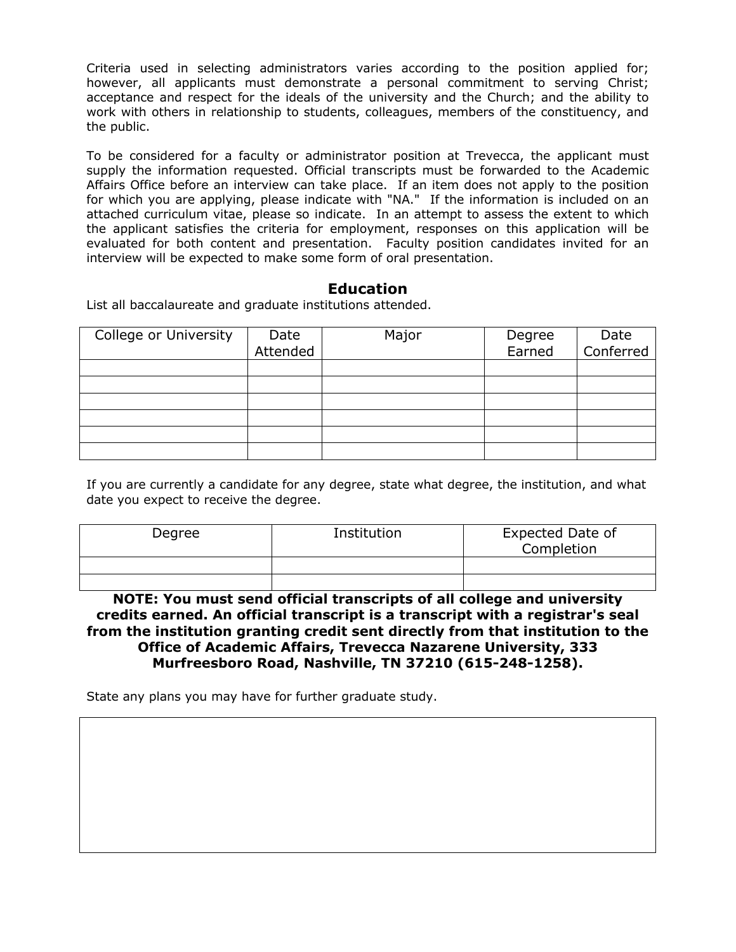Criteria used in selecting administrators varies according to the position applied for; however, all applicants must demonstrate a personal commitment to serving Christ; acceptance and respect for the ideals of the university and the Church; and the ability to work with others in relationship to students, colleagues, members of the constituency, and the public.

To be considered for a faculty or administrator position at Trevecca, the applicant must supply the information requested. Official transcripts must be forwarded to the Academic Affairs Office before an interview can take place. If an item does not apply to the position for which you are applying, please indicate with "NA." If the information is included on an attached curriculum vitae, please so indicate. In an attempt to assess the extent to which the applicant satisfies the criteria for employment, responses on this application will be evaluated for both content and presentation. Faculty position candidates invited for an interview will be expected to make some form of oral presentation.

## **Education**

List all baccalaureate and graduate institutions attended.

| College or University | Date<br>Attended | Major | Degree<br>Earned | Date<br>Conferred |
|-----------------------|------------------|-------|------------------|-------------------|
|                       |                  |       |                  |                   |
|                       |                  |       |                  |                   |
|                       |                  |       |                  |                   |
|                       |                  |       |                  |                   |
|                       |                  |       |                  |                   |
|                       |                  |       |                  |                   |

If you are currently a candidate for any degree, state what degree, the institution, and what date you expect to receive the degree.

| Degree | Institution | Expected Date of<br>Completion |
|--------|-------------|--------------------------------|
|        |             |                                |
|        |             |                                |

**NOTE: You must send official transcripts of all college and university credits earned. An official transcript is a transcript with a registrar's seal from the institution granting credit sent directly from that institution to the Office of Academic Affairs, Trevecca Nazarene University, 333 Murfreesboro Road, Nashville, TN 37210 (615-248-1258).** 

State any plans you may have for further graduate study.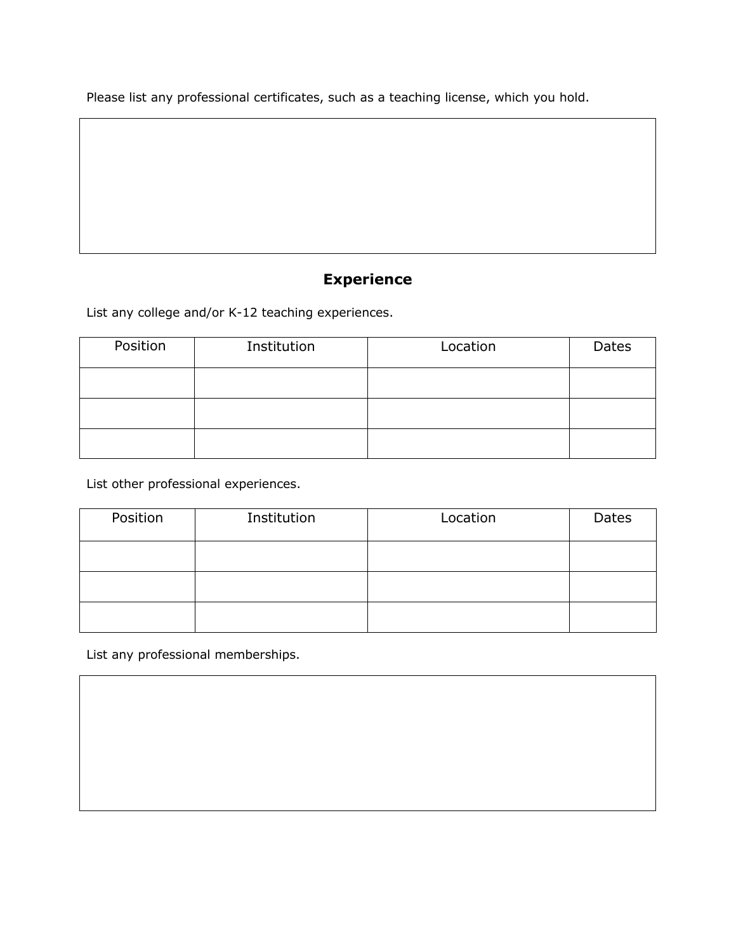Please list any professional certificates, such as a teaching license, which you hold.

# **Experience**

List any college and/or K-12 teaching experiences.

| Position | Institution | Location | Dates |
|----------|-------------|----------|-------|
|          |             |          |       |
|          |             |          |       |
|          |             |          |       |

List other professional experiences.

| Position | Institution | Location | Dates |
|----------|-------------|----------|-------|
|          |             |          |       |
|          |             |          |       |
|          |             |          |       |

List any professional memberships.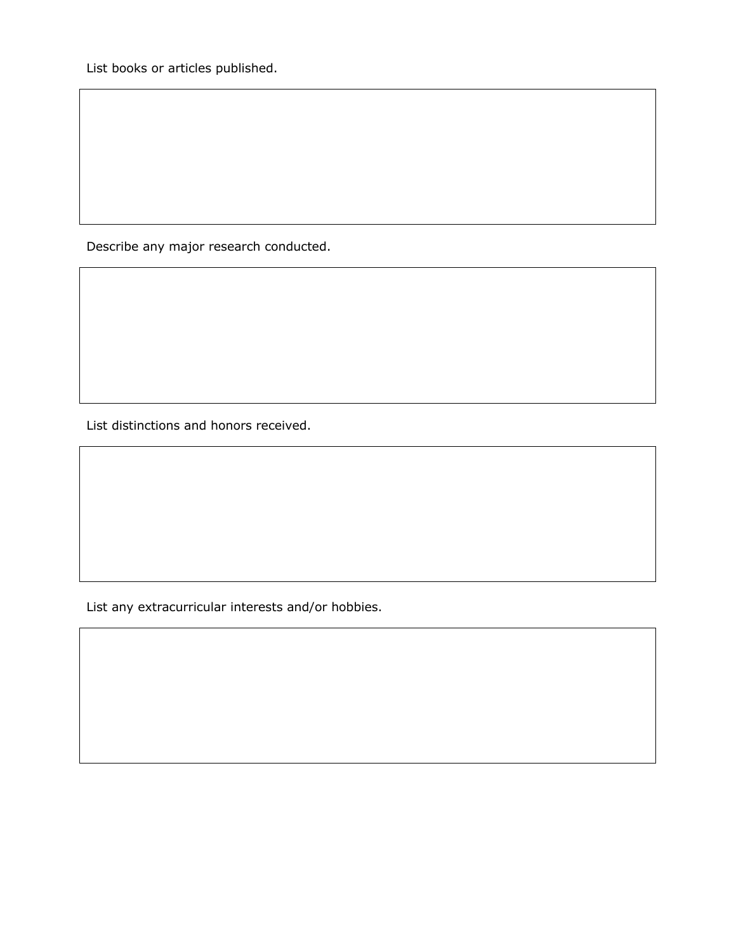List books or articles published.

Describe any major research conducted.

List distinctions and honors received.

List any extracurricular interests and/or hobbies.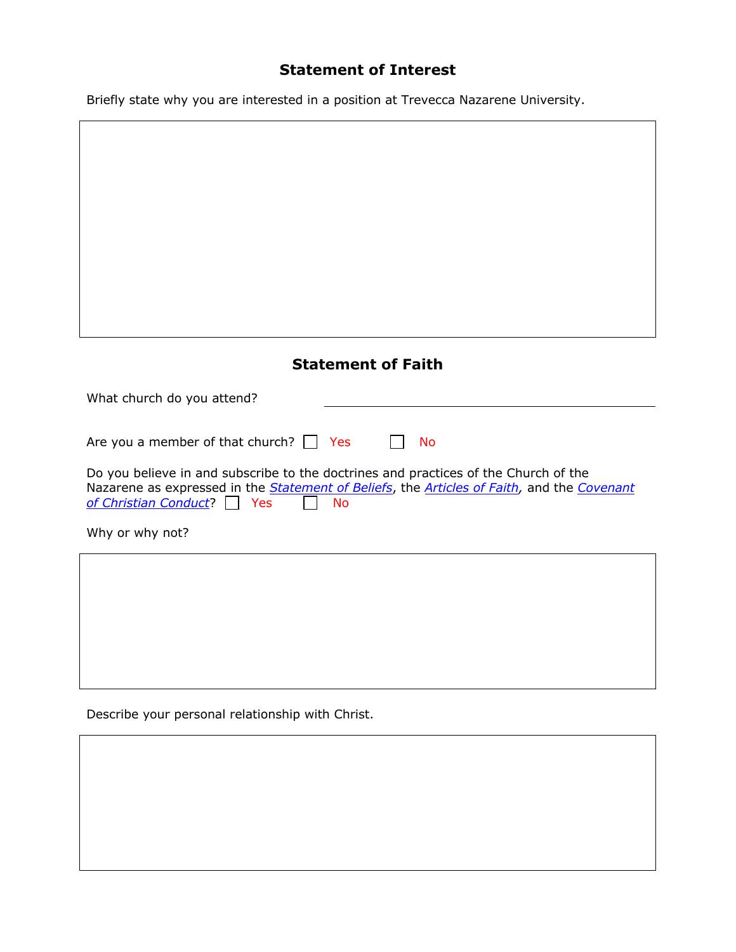# **Statement of Interest**

٦

Briefly state why you are interested in a position at Trevecca Nazarene University.

 $\overline{\Gamma}$ 

| <b>Statement of Faith</b>                   |                                                                                                                                                                                                                       |  |  |
|---------------------------------------------|-----------------------------------------------------------------------------------------------------------------------------------------------------------------------------------------------------------------------|--|--|
| What church do you attend?                  |                                                                                                                                                                                                                       |  |  |
| Are you a member of that church? $\Box$ Yes | <b>No</b>                                                                                                                                                                                                             |  |  |
| of Christian Conduct?<br>Yes                | Do you believe in and subscribe to the doctrines and practices of the Church of the<br>Nazarene as expressed in the <i>Statement of Beliefs</i> , the <i>Articles of Faith</i> , and the <i>Covenant</i><br><b>No</b> |  |  |
| Why or why not?                             |                                                                                                                                                                                                                       |  |  |
|                                             |                                                                                                                                                                                                                       |  |  |

Describe your personal relationship with Christ.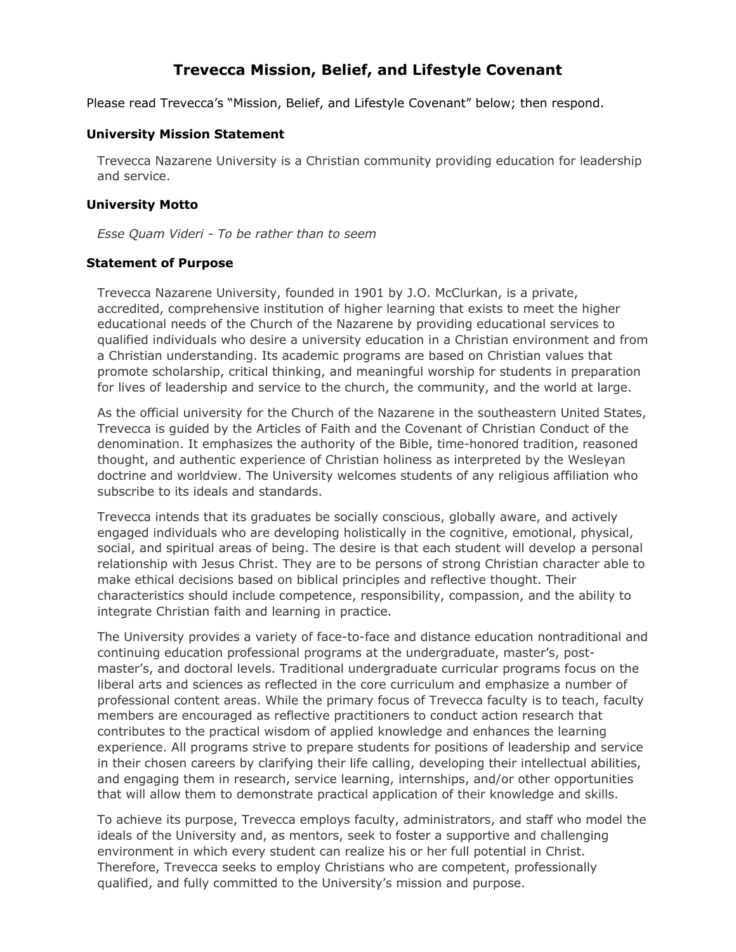## **Trevecca Mission, Belief, and Lifestyle Covenant**

Please read Trevecca's "Mission, Belief, and Lifestyle Covenant" below; then respond.

#### **University Mission Statement**

Trevecca Nazarene University is a Christian community providing education for leadership and service.

#### **University Motto**

*Esse Quam Videri - To be rather than to seem*

#### **Statement of Purpose**

Trevecca Nazarene University, founded in 1901 by J.O. McClurkan, is a private, accredited, comprehensive institution of higher learning that exists to meet the higher educational needs of the Church of the Nazarene by providing educational services to qualified individuals who desire a university education in a Christian environment and from a Christian understanding. Its academic programs are based on Christian values that promote scholarship, critical thinking, and meaningful worship for students in preparation for lives of leadership and service to the church, the community, and the world at large.

As the official university for the Church of the Nazarene in the southeastern United States, Trevecca is guided by the Articles of Faith and the Covenant of Christian Conduct of the denomination. It emphasizes the authority of the Bible, time-honored tradition, reasoned thought, and authentic experience of Christian holiness as interpreted by the Wesleyan doctrine and worldview. The University welcomes students of any religious affiliation who subscribe to its ideals and standards.

Trevecca intends that its graduates be socially conscious, globally aware, and actively engaged individuals who are developing holistically in the cognitive, emotional, physical, social, and spiritual areas of being. The desire is that each student will develop a personal relationship with Jesus Christ. They are to be persons of strong Christian character able to make ethical decisions based on biblical principles and reflective thought. Their characteristics should include competence, responsibility, compassion, and the ability to integrate Christian faith and learning in practice.

The University provides a variety of face-to-face and distance education nontraditional and continuing education professional programs at the undergraduate, master's, postmaster's, and doctoral levels. Traditional undergraduate curricular programs focus on the liberal arts and sciences as reflected in the core curriculum and emphasize a number of professional content areas. While the primary focus of Trevecca faculty is to teach, faculty members are encouraged as reflective practitioners to conduct action research that contributes to the practical wisdom of applied knowledge and enhances the learning experience. All programs strive to prepare students for positions of leadership and service in their chosen careers by clarifying their life calling, developing their intellectual abilities, and engaging them in research, service learning, internships, and/or other opportunities that will allow them to demonstrate practical application of their knowledge and skills.

To achieve its purpose, Trevecca employs faculty, administrators, and staff who model the ideals of the University and, as mentors, seek to foster a supportive and challenging environment in which every student can realize his or her full potential in Christ. Therefore, Trevecca seeks to employ Christians who are competent, professionally qualified, and fully committed to the University's mission and purpose.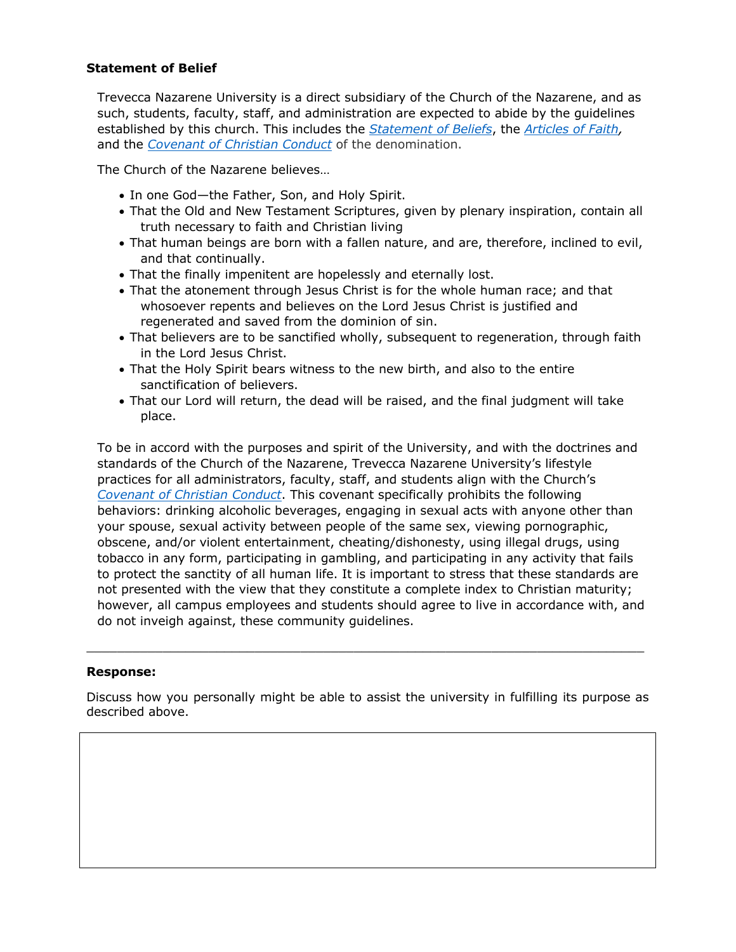#### **Statement of Belief**

Trevecca Nazarene University is a direct subsidiary of the Church of the Nazarene, and as such, students, faculty, staff, and administration are expected to abide by the guidelines established by this church. This includes the *Statement of Beliefs*, the *Articles of Faith,* and the *Covenant of Christian Conduct* of the denomination.

The Church of the Nazarene believes…

- In one God—the Father, Son, and Holy Spirit.
- That the Old and New Testament Scriptures, given by plenary inspiration, contain all truth necessary to faith and Christian living
- That human beings are born with a fallen nature, and are, therefore, inclined to evil, and that continually.
- That the finally impenitent are hopelessly and eternally lost.
- That the atonement through Jesus Christ is for the whole human race; and that whosoever repents and believes on the Lord Jesus Christ is justified and regenerated and saved from the dominion of sin.
- That believers are to be sanctified wholly, subsequent to regeneration, through faith in the Lord Jesus Christ.
- That the Holy Spirit bears witness to the new birth, and also to the entire sanctification of believers.
- That our Lord will return, the dead will be raised, and the final judgment will take place.

To be in accord with the purposes and spirit of the University, and with the doctrines and standards of the Church of the Nazarene, Trevecca Nazarene University's lifestyle practices for all administrators, faculty, staff, and students align with the Church's *Covenant of Christian Conduct*. This covenant specifically prohibits the following behaviors: drinking alcoholic beverages, engaging in sexual acts with anyone other than your spouse, sexual activity between people of the same sex, viewing pornographic, obscene, and/or violent entertainment, cheating/dishonesty, using illegal drugs, using tobacco in any form, participating in gambling, and participating in any activity that fails to protect the sanctity of all human life. It is important to stress that these standards are not presented with the view that they constitute a complete index to Christian maturity; however, all campus employees and students should agree to live in accordance with, and do not inveigh against, these community guidelines.

#### **Response:**

Discuss how you personally might be able to assist the university in fulfilling its purpose as described above.

 $\mathcal{L}_\mathcal{L} = \{ \mathcal{L}_\mathcal{L} = \{ \mathcal{L}_\mathcal{L} = \{ \mathcal{L}_\mathcal{L} = \{ \mathcal{L}_\mathcal{L} = \{ \mathcal{L}_\mathcal{L} = \{ \mathcal{L}_\mathcal{L} = \{ \mathcal{L}_\mathcal{L} = \{ \mathcal{L}_\mathcal{L} = \{ \mathcal{L}_\mathcal{L} = \{ \mathcal{L}_\mathcal{L} = \{ \mathcal{L}_\mathcal{L} = \{ \mathcal{L}_\mathcal{L} = \{ \mathcal{L}_\mathcal{L} = \{ \mathcal{L}_\mathcal{$